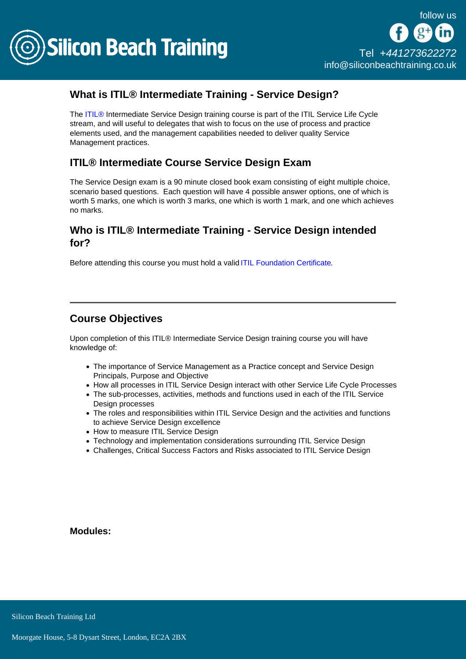

## What is ITIL® Intermediate Training - Service Design?

The [ITIL®](/itil-training) Intermediate Service Design training course is part of the ITIL Service Life Cycle stream, and will useful to delegates that wish to focus on the use of process and practice elements used, and the management capabilities needed to deliver quality Service Management practices.

## ITIL® Intermediate Course Service Design Exam

The Service Design exam is a 90 minute closed book exam consisting of eight multiple choice, scenario based questions. Each question will have 4 possible answer options, one of which is worth 5 marks, one which is worth 3 marks, one which is worth 1 mark, and one which achieves no marks.

## Who is ITIL® Intermediate Training - Service Design intended for?

Before attending this course you must hold a valid [ITIL Foundation Certificate.](/itil-training/itil-foundation-training)

## Course Objectives

Upon completion of this ITIL® Intermediate Service Design training course you will have knowledge of:

- The importance of Service Management as a Practice concept and Service Design Principals, Purpose and Objective
- How all processes in ITIL Service Design interact with other Service Life Cycle Processes
- The sub-processes, activities, methods and functions used in each of the ITIL Service Design processes
- The roles and responsibilities within ITIL Service Design and the activities and functions to achieve Service Design excellence
- How to measure ITIL Service Design
- Technology and implementation considerations surrounding ITIL Service Design
- Challenges, Critical Success Factors and Risks associated to ITIL Service Design

Modules: